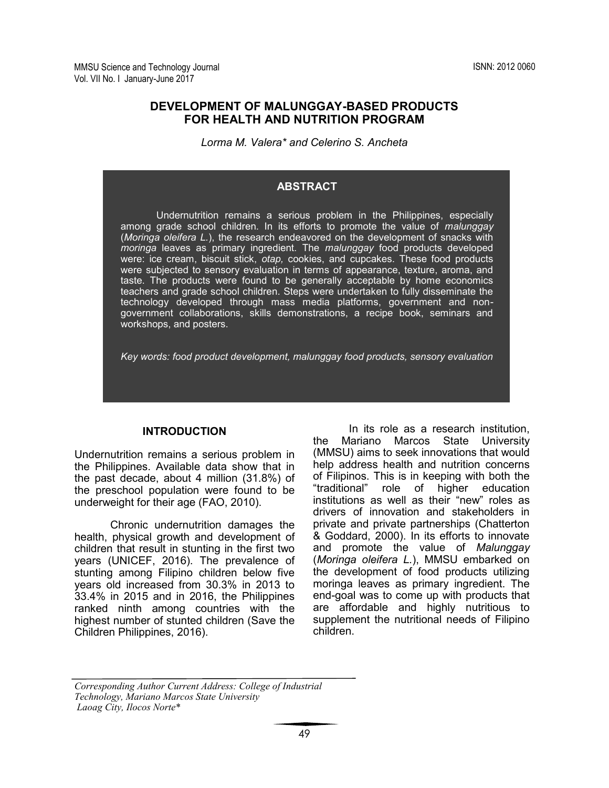# **DEVELOPMENT OF MALUNGGAY-BASED PRODUCTS FOR HEALTH AND NUTRITION PROGRAM**

*Lorma M. Valera\* and Celerino S. Ancheta*

#### **ABSTRACT**

Undernutrition remains a serious problem in the Philippines, especially among grade school children. In its efforts to promote the value of *malunggay*  (*Moringa oleifera L.*), the research endeavored on the development of snacks with *moringa* leaves as primary ingredient. The *malunggay* food products developed were: ice cream, biscuit stick, *otap,* cookies, and cupcakes. These food products were subjected to sensory evaluation in terms of appearance, texture, aroma, and taste. The products were found to be generally acceptable by home economics teachers and grade school children. Steps were undertaken to fully disseminate the technology developed through mass media platforms, government and nongovernment collaborations, skills demonstrations, a recipe book, seminars and workshops, and posters.

*Key words: food product development, malunggay food products, sensory evaluation* 

#### **INTRODUCTION**

Undernutrition remains a serious problem in the Philippines. Available data show that in the past decade, about 4 million (31.8%) of the preschool population were found to be underweight for their age (FAO, 2010).

Chronic undernutrition damages the health, physical growth and development of children that result in stunting in the first two years (UNICEF, 2016). The prevalence of stunting among Filipino children below five years old increased from 30.3% in 2013 to 33.4% in 2015 and in 2016, the Philippines ranked ninth among countries with the highest number of stunted children (Save the Children Philippines, 2016).

In its role as a research institution, the Mariano Marcos State University (MMSU) aims to seek innovations that would help address health and nutrition concerns of Filipinos. This is in keeping with both the "traditional" role of higher education role of higher education institutions as well as their "new" roles as drivers of innovation and stakeholders in private and private partnerships (Chatterton & Goddard, 2000). In its efforts to innovate and promote the value of *Malunggay*  (*Moringa oleifera L.*), MMSU embarked on the development of food products utilizing moringa leaves as primary ingredient. The end-goal was to come up with products that are affordable and highly nutritious to supplement the nutritional needs of Filipino children.

*Corresponding Author Current Address: College of Industrial Technology, Mariano Marcos State University Laoag City, Ilocos Norte*\* *City*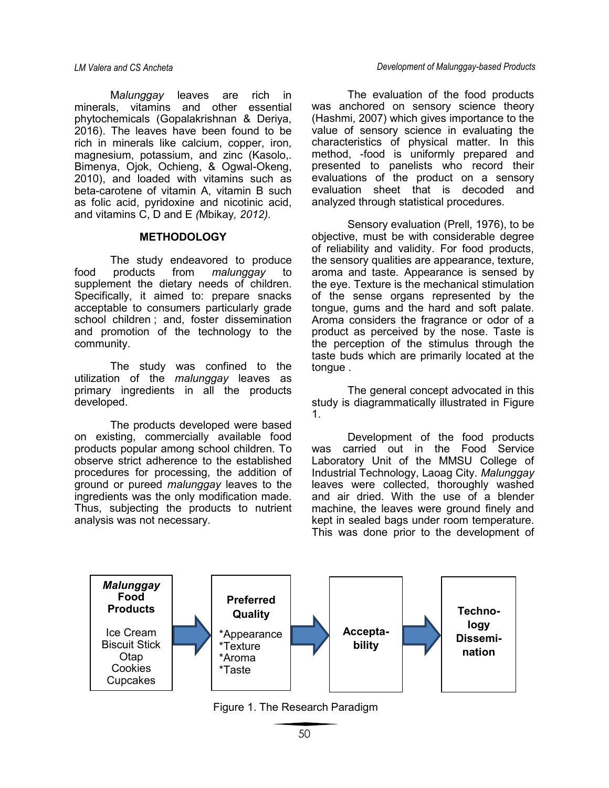M*alunggay* leaves are rich in minerals, vitamins and other essential phytochemicals (Gopalakrishnan & Deriya, 2016). The leaves have been found to be rich in minerals like calcium, copper, iron, magnesium, potassium, and zinc (Kasolo,. Bimenya, Ojok, Ochieng, & Ogwal-Okeng, 2010), and loaded with vitamins such as beta-carotene of vitamin A, vitamin B such as folic acid, pyridoxine and nicotinic acid, and vitamins C, D and E *(*Mbikay*, 2012).*

#### **METHODOLOGY**

The study endeavored to produce food products from *malunggay* to supplement the dietary needs of children. Specifically, it aimed to: prepare snacks acceptable to consumers particularly grade school children ; and, foster dissemination and promotion of the technology to the community.

The study was confined to the utilization of the *malunggay* leaves as primary ingredients in all the products developed.

The products developed were based on existing, commercially available food products popular among school children. To observe strict adherence to the established procedures for processing, the addition of ground or pureed *malunggay* leaves to the ingredients was the only modification made. Thus, subjecting the products to nutrient analysis was not necessary.

The evaluation of the food products was anchored on sensory science theory (Hashmi, 2007) which gives importance to the value of sensory science in evaluating the characteristics of physical matter. In this method, -food is uniformly prepared and presented to panelists who record their evaluations of the product on a sensory evaluation sheet that is decoded and analyzed through statistical procedures.

Sensory evaluation (Prell, 1976), to be objective, must be with considerable degree of reliability and validity. For food products, the sensory qualities are appearance, texture, aroma and taste. Appearance is sensed by the eye. Texture is the mechanical stimulation of the sense organs represented by the tongue, gums and the hard and soft palate. Aroma considers the fragrance or odor of a product as perceived by the nose. Taste is the perception of the stimulus through the taste buds which are primarily located at the tongue .

The general concept advocated in this study is diagrammatically illustrated in Figure 1.

Development of the food products was carried out in the Food Service Laboratory Unit of the MMSU College of Industrial Technology, Laoag City. *Malunggay* leaves were collected, thoroughly washed and air dried. With the use of a blender machine, the leaves were ground finely and kept in sealed bags under room temperature. This was done prior to the development of



Figure 1. The Research Paradigm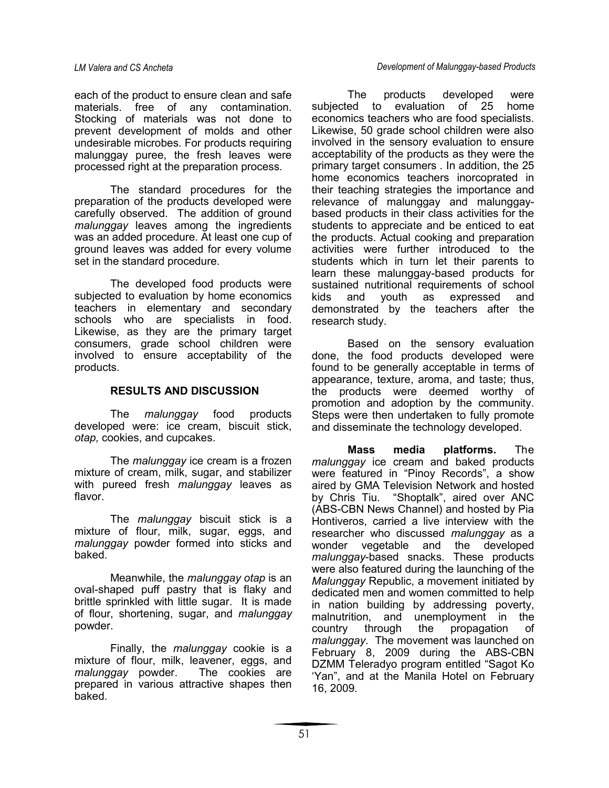each of the product to ensure clean and safe materials. free of any contamination. Stocking of materials was not done to prevent development of molds and other undesirable microbes. For products requiring malunggay puree, the fresh leaves were processed right at the preparation process.

The standard procedures for the preparation of the products developed were carefully observed. The addition of ground *malunggay* leaves among the ingredients was an added procedure. At least one cup of ground leaves was added for every volume set in the standard procedure.

The developed food products were subjected to evaluation by home economics teachers in elementary and secondary schools who are specialists in food. Likewise, as they are the primary target consumers, grade school children were involved to ensure acceptability of the products.

### **RESULTS AND DISCUSSION**

The *malunggay* food products developed were: ice cream, biscuit stick, *otap,* cookies, and cupcakes.

The *malunggay* ice cream is a frozen mixture of cream, milk, sugar, and stabilizer with pureed fresh *malunggay* leaves as flavor.

The *malunggay* biscuit stick is a mixture of flour, milk, sugar, eggs, and *malunggay* powder formed into sticks and baked.

Meanwhile, the *malunggay otap* is an oval-shaped puff pastry that is flaky and brittle sprinkled with little sugar. It is made of flour, shortening, sugar, and *malunggay*  powder.

Finally, the *malunggay* cookie is a mixture of flour, milk, leavener, eggs, and *malunggay* powder. The cookies are prepared in various attractive shapes then baked.

The products developed were subjected to evaluation of 25 home economics teachers who are food specialists. Likewise, 50 grade school children were also involved in the sensory evaluation to ensure acceptability of the products as they were the primary target consumers . In addition, the 25 home economics teachers inorcoprated in their teaching strategies the importance and relevance of malunggay and malunggaybased products in their class activities for the students to appreciate and be enticed to eat the products. Actual cooking and preparation activities were further introduced to the students which in turn let their parents to learn these malunggay-based products for sustained nutritional requirements of school kids and youth as expressed and demonstrated by the teachers after the research study.

Based on the sensory evaluation done, the food products developed were found to be generally acceptable in terms of appearance, texture, aroma, and taste; thus, the products were deemed worthy of promotion and adoption by the community. Steps were then undertaken to fully promote and disseminate the technology developed.

**Mass media platforms.** The *malunggay* ice cream and baked products were featured in "Pinoy Records", a show aired by GMA Television Network and hosted by Chris Tiu. "Shoptalk", aired over ANC (ABS-CBN News Channel) and hosted by Pia Hontiveros, carried a live interview with the researcher who discussed *malunggay* as a wonder vegetable and the developed *malunggay*-based snacks. These products were also featured during the launching of the *Malunggay* Republic, a movement initiated by dedicated men and women committed to help in nation building by addressing poverty, malnutrition, and unemployment in the country through the propagation of *malunggay*. The movement was launched on February 8, 2009 during the ABS-CBN DZMM Teleradyo program entitled "Sagot Ko 'Yan", and at the Manila Hotel on February 16, 2009.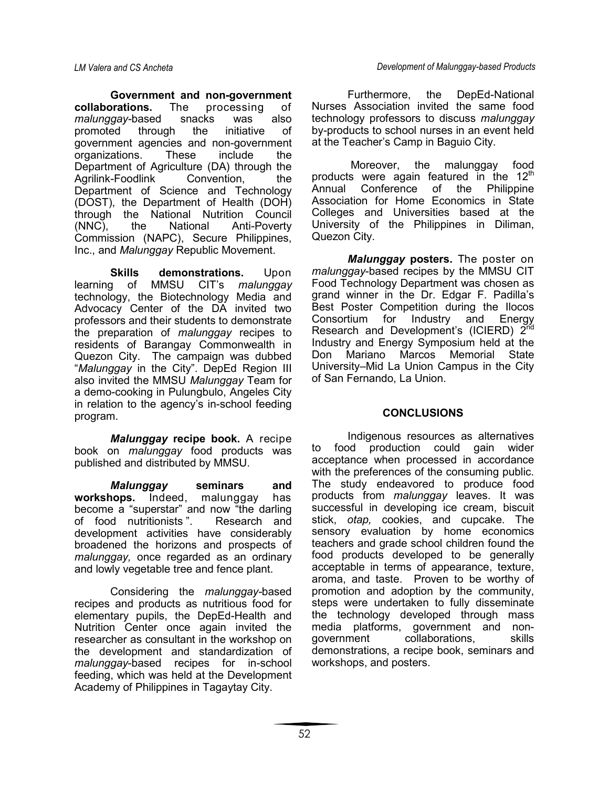**Government and non-government collaborations.** The processing of *malunggay-*based snacks was also promoted through the initiative of government agencies and non-government organizations. These include the Department of Agriculture (DA) through the Agrilink-Foodlink Convention, the Department of Science and Technology (DOST), the Department of Health (DOH) through the National Nutrition Council (NNC), the National Anti-Poverty Commission (NAPC), Secure Philippines, Inc., and *Malunggay* Republic Movement.

**Skills demonstrations.** Upon learning of MMSU CIT's *malunggay* technology, the Biotechnology Media and Advocacy Center of the DA invited two professors and their students to demonstrate the preparation of *malunggay* recipes to residents of Barangay Commonwealth in Quezon City. The campaign was dubbed "*Malunggay* in the City". DepEd Region III also invited the MMSU *Malunggay* Team for a demo-cooking in Pulungbulo, Angeles City in relation to the agency's in-school feeding program.

*Malunggay* **recipe book.** A recipe book on *malunggay* food products was published and distributed by MMSU.

*Malunggay* **seminars and workshops.** Indeed, malunggay has become a "superstar" and now "the darling of food nutritionists ". Research and development activities have considerably broadened the horizons and prospects of *malunggay,* once regarded as an ordinary and lowly vegetable tree and fence plant.

Considering the *malunggay-*based recipes and products as nutritious food for elementary pupils, the DepEd-Health and Nutrition Center once again invited the researcher as consultant in the workshop on the development and standardization of *malunggay*-based recipes for in-school feeding, which was held at the Development Academy of Philippines in Tagaytay City.

Furthermore, the DepEd-National Nurses Association invited the same food technology professors to discuss *malunggay* by-products to school nurses in an event held at the Teacher's Camp in Baguio City.

 Moreover, the malunggay food products were again featured in the  $12<sup>th</sup>$ Annual Conference of the Philippine Association for Home Economics in State Colleges and Universities based at the University of the Philippines in Diliman, Quezon City.

*Malunggay* **posters.** The poster on *malunggay*-based recipes by the MMSU CIT Food Technology Department was chosen as grand winner in the Dr. Edgar F. Padilla's Best Poster Competition during the Ilocos Consortium for Industry and Energy Research and Development's (ICIERD)  $2^{nd}$ Industry and Energy Symposium held at the Don Mariano Marcos Memorial State University–Mid La Union Campus in the City of San Fernando, La Union.

# **CONCLUSIONS**

Indigenous resources as alternatives to food production could gain wider acceptance when processed in accordance with the preferences of the consuming public. The study endeavored to produce food products from *malunggay* leaves. It was successful in developing ice cream, biscuit stick, *otap,* cookies, and cupcake. The sensory evaluation by home economics teachers and grade school children found the food products developed to be generally acceptable in terms of appearance, texture, aroma, and taste. Proven to be worthy of promotion and adoption by the community, steps were undertaken to fully disseminate the technology developed through mass media platforms, government and nongovernment collaborations, skills demonstrations, a recipe book, seminars and workshops, and posters.